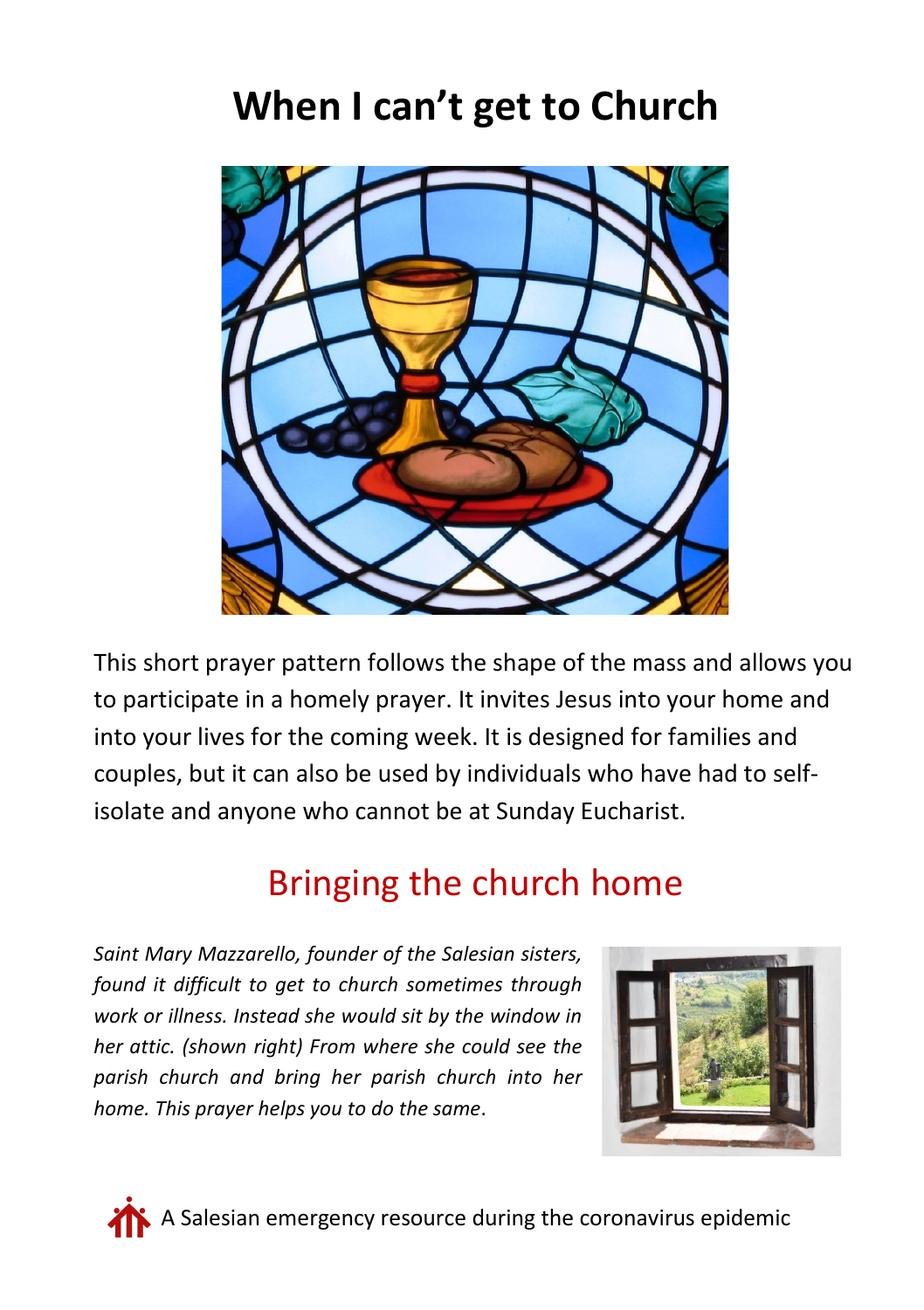# **When I can't get to Church**



This short prayer pattern follows the shape of the mass and allows you to participate in a homely prayer. It invites Jesus into your home and into your lives for the coming week. It is designed for families and couples, but it can also be used by individuals who have had to selfisolate and anyone who cannot be at Sunday Eucharist.

# Bringing the church home

*Saint Mary Mazzarello, founder of the Salesian sisters, found it difficult to get to church sometimes through work or illness. Instead she would sit by the window in her attic. (shown right) From where she could see the parish church and bring her parish church into her home. This prayer helps you to do the same*.





 $\blacklozenge$  A Salesian emergency resource during the coronavirus epidemic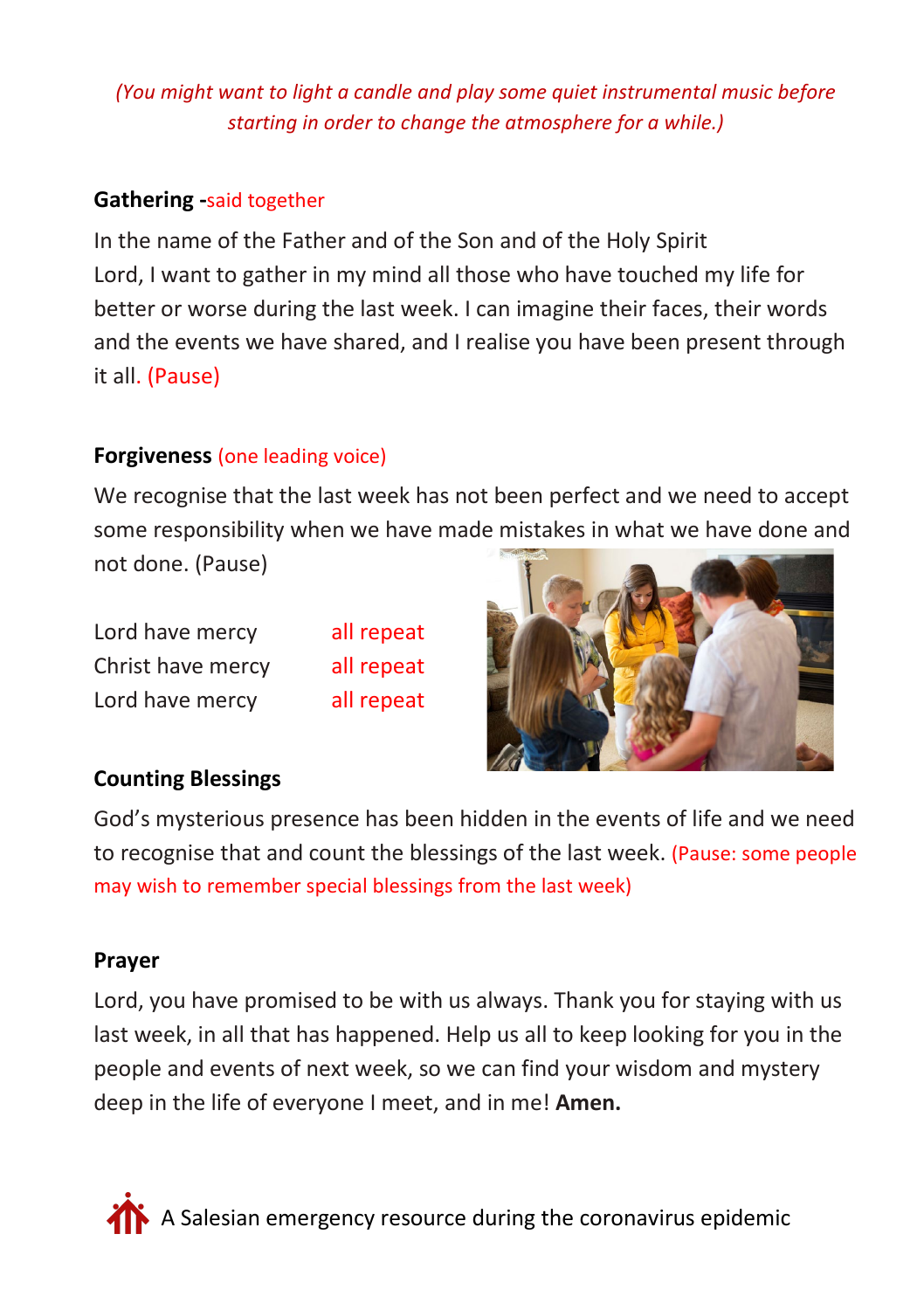# *(You might want to light a candle and play some quiet instrumental music before starting in order to change the atmosphere for a while.)*

# **Gathering -**said together

In the name of the Father and of the Son and of the Holy Spirit Lord, I want to gather in my mind all those who have touched my life for better or worse during the last week. I can imagine their faces, their words and the events we have shared, and I realise you have been present through it all. (Pause)

# **Forgiveness** (one leading voice)

We recognise that the last week has not been perfect and we need to accept some responsibility when we have made mistakes in what we have done and not done. (Pause)

Lord have mercy all repeat Christ have mercy all repeat Lord have mercy all repeat



# **Counting Blessings**

God's mysterious presence has been hidden in the events of life and we need to recognise that and count the blessings of the last week. (Pause: some people may wish to remember special blessings from the last week)

# **Prayer**

Lord, you have promised to be with us always. Thank you for staying with us last week, in all that has happened. Help us all to keep looking for you in the people and events of next week, so we can find your wisdom and mystery deep in the life of everyone I meet, and in me! **Amen.**

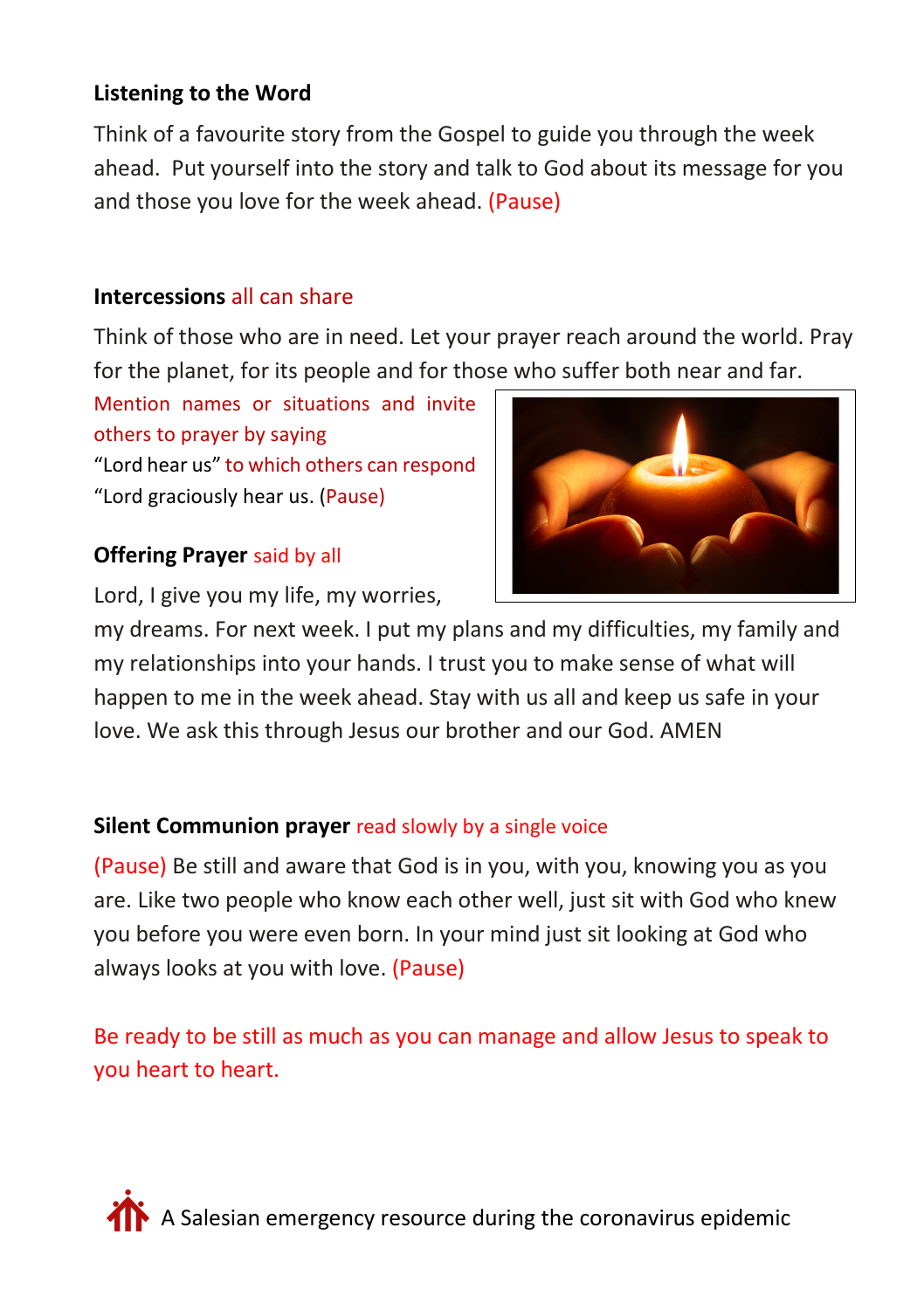# **Listening to the Word**

Think of a favourite story from the Gospel to guide you through the week ahead. Put yourself into the story and talk to God about its message for you and those you love for the week ahead. (Pause)

# **Intercessions** all can share

Think of those who are in need. Let your prayer reach around the world. Pray for the planet, for its people and for those who suffer both near and far.

Mention names or situations and invite others to prayer by saying "Lord hear us" to which others can respond "Lord graciously hear us. (Pause)

# **Offering Prayer** said by all

Lord, I give you my life, my worries,



my dreams. For next week. I put my plans and my difficulties, my family and my relationships into your hands. I trust you to make sense of what will happen to me in the week ahead. Stay with us all and keep us safe in your love. We ask this through Jesus our brother and our God. AMEN

# **Silent Communion prayer** read slowly by a single voice

(Pause) Be still and aware that God is in you, with you, knowing you as you are. Like two people who know each other well, just sit with God who knew you before you were even born. In your mind just sit looking at God who always looks at you with love. (Pause)

Be ready to be still as much as you can manage and allow Jesus to speak to you heart to heart.